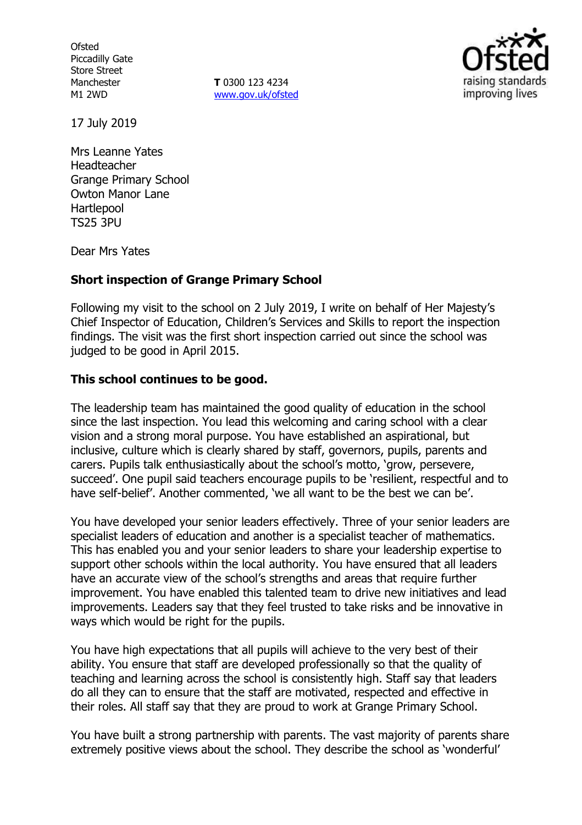**Ofsted** Piccadilly Gate Store Street Manchester M1 2WD

**T** 0300 123 4234 www.gov.uk/ofsted



17 July 2019

Mrs Leanne Yates Headteacher Grange Primary School Owton Manor Lane Hartlepool TS25 3PU

Dear Mrs Yates

#### **Short inspection of Grange Primary School**

Following my visit to the school on 2 July 2019, I write on behalf of Her Majesty's Chief Inspector of Education, Children's Services and Skills to report the inspection findings. The visit was the first short inspection carried out since the school was judged to be good in April 2015.

#### **This school continues to be good.**

The leadership team has maintained the good quality of education in the school since the last inspection. You lead this welcoming and caring school with a clear vision and a strong moral purpose. You have established an aspirational, but inclusive, culture which is clearly shared by staff, governors, pupils, parents and carers. Pupils talk enthusiastically about the school's motto, 'grow, persevere, succeed'. One pupil said teachers encourage pupils to be 'resilient, respectful and to have self-belief'. Another commented, 'we all want to be the best we can be'.

You have developed your senior leaders effectively. Three of your senior leaders are specialist leaders of education and another is a specialist teacher of mathematics. This has enabled you and your senior leaders to share your leadership expertise to support other schools within the local authority. You have ensured that all leaders have an accurate view of the school's strengths and areas that require further improvement. You have enabled this talented team to drive new initiatives and lead improvements. Leaders say that they feel trusted to take risks and be innovative in ways which would be right for the pupils.

You have high expectations that all pupils will achieve to the very best of their ability. You ensure that staff are developed professionally so that the quality of teaching and learning across the school is consistently high. Staff say that leaders do all they can to ensure that the staff are motivated, respected and effective in their roles. All staff say that they are proud to work at Grange Primary School.

You have built a strong partnership with parents. The vast majority of parents share extremely positive views about the school. They describe the school as 'wonderful'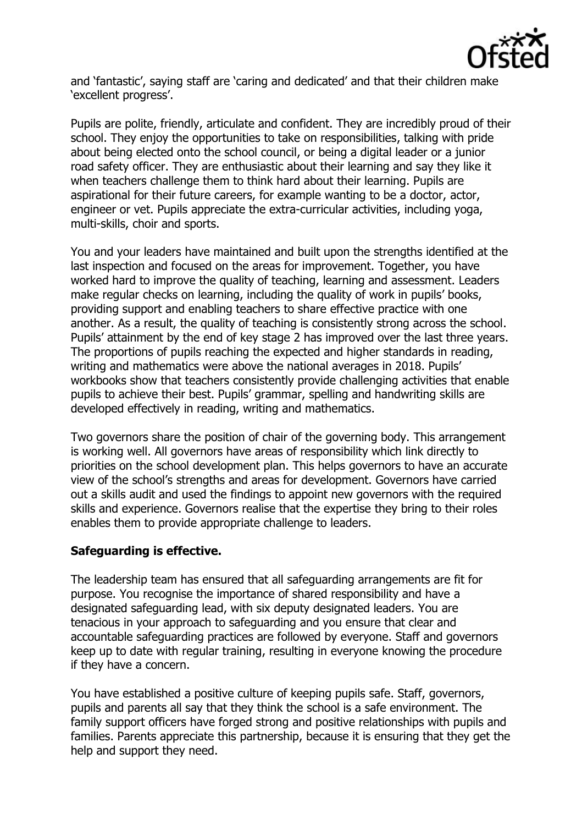

and 'fantastic', saying staff are 'caring and dedicated' and that their children make 'excellent progress'.

Pupils are polite, friendly, articulate and confident. They are incredibly proud of their school. They enjoy the opportunities to take on responsibilities, talking with pride about being elected onto the school council, or being a digital leader or a junior road safety officer. They are enthusiastic about their learning and say they like it when teachers challenge them to think hard about their learning. Pupils are aspirational for their future careers, for example wanting to be a doctor, actor, engineer or vet. Pupils appreciate the extra-curricular activities, including yoga, multi-skills, choir and sports.

You and your leaders have maintained and built upon the strengths identified at the last inspection and focused on the areas for improvement. Together, you have worked hard to improve the quality of teaching, learning and assessment. Leaders make regular checks on learning, including the quality of work in pupils' books, providing support and enabling teachers to share effective practice with one another. As a result, the quality of teaching is consistently strong across the school. Pupils' attainment by the end of key stage 2 has improved over the last three years. The proportions of pupils reaching the expected and higher standards in reading, writing and mathematics were above the national averages in 2018. Pupils' workbooks show that teachers consistently provide challenging activities that enable pupils to achieve their best. Pupils' grammar, spelling and handwriting skills are developed effectively in reading, writing and mathematics.

Two governors share the position of chair of the governing body. This arrangement is working well. All governors have areas of responsibility which link directly to priorities on the school development plan. This helps governors to have an accurate view of the school's strengths and areas for development. Governors have carried out a skills audit and used the findings to appoint new governors with the required skills and experience. Governors realise that the expertise they bring to their roles enables them to provide appropriate challenge to leaders.

# **Safeguarding is effective.**

The leadership team has ensured that all safeguarding arrangements are fit for purpose. You recognise the importance of shared responsibility and have a designated safeguarding lead, with six deputy designated leaders. You are tenacious in your approach to safeguarding and you ensure that clear and accountable safeguarding practices are followed by everyone. Staff and governors keep up to date with regular training, resulting in everyone knowing the procedure if they have a concern.

You have established a positive culture of keeping pupils safe. Staff, governors, pupils and parents all say that they think the school is a safe environment. The family support officers have forged strong and positive relationships with pupils and families. Parents appreciate this partnership, because it is ensuring that they get the help and support they need.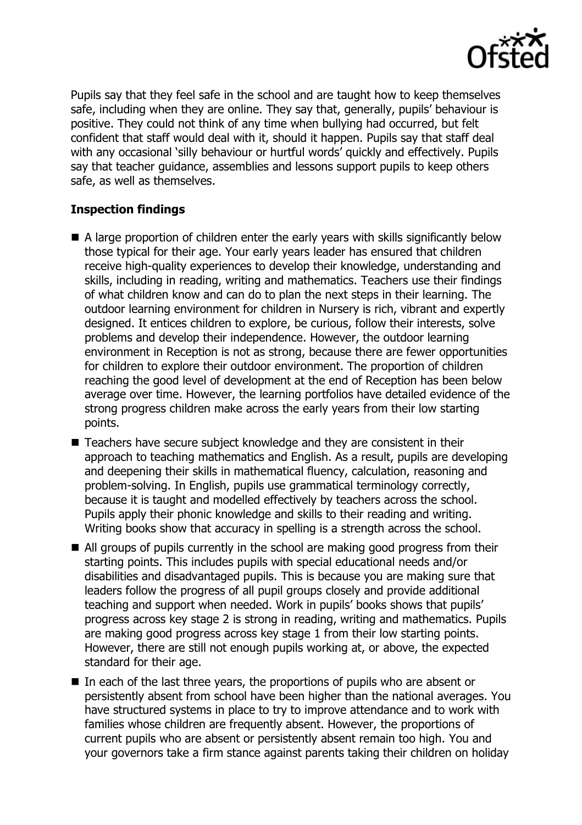

Pupils say that they feel safe in the school and are taught how to keep themselves safe, including when they are online. They say that, generally, pupils' behaviour is positive. They could not think of any time when bullying had occurred, but felt confident that staff would deal with it, should it happen. Pupils say that staff deal with any occasional 'silly behaviour or hurtful words' quickly and effectively. Pupils say that teacher guidance, assemblies and lessons support pupils to keep others safe, as well as themselves.

## **Inspection findings**

- A large proportion of children enter the early years with skills significantly below those typical for their age. Your early years leader has ensured that children receive high-quality experiences to develop their knowledge, understanding and skills, including in reading, writing and mathematics. Teachers use their findings of what children know and can do to plan the next steps in their learning. The outdoor learning environment for children in Nursery is rich, vibrant and expertly designed. It entices children to explore, be curious, follow their interests, solve problems and develop their independence. However, the outdoor learning environment in Reception is not as strong, because there are fewer opportunities for children to explore their outdoor environment. The proportion of children reaching the good level of development at the end of Reception has been below average over time. However, the learning portfolios have detailed evidence of the strong progress children make across the early years from their low starting points.
- Teachers have secure subject knowledge and they are consistent in their approach to teaching mathematics and English. As a result, pupils are developing and deepening their skills in mathematical fluency, calculation, reasoning and problem-solving. In English, pupils use grammatical terminology correctly, because it is taught and modelled effectively by teachers across the school. Pupils apply their phonic knowledge and skills to their reading and writing. Writing books show that accuracy in spelling is a strength across the school.
- All groups of pupils currently in the school are making good progress from their starting points. This includes pupils with special educational needs and/or disabilities and disadvantaged pupils. This is because you are making sure that leaders follow the progress of all pupil groups closely and provide additional teaching and support when needed. Work in pupils' books shows that pupils' progress across key stage 2 is strong in reading, writing and mathematics. Pupils are making good progress across key stage 1 from their low starting points. However, there are still not enough pupils working at, or above, the expected standard for their age.
- In each of the last three years, the proportions of pupils who are absent or persistently absent from school have been higher than the national averages. You have structured systems in place to try to improve attendance and to work with families whose children are frequently absent. However, the proportions of current pupils who are absent or persistently absent remain too high. You and your governors take a firm stance against parents taking their children on holiday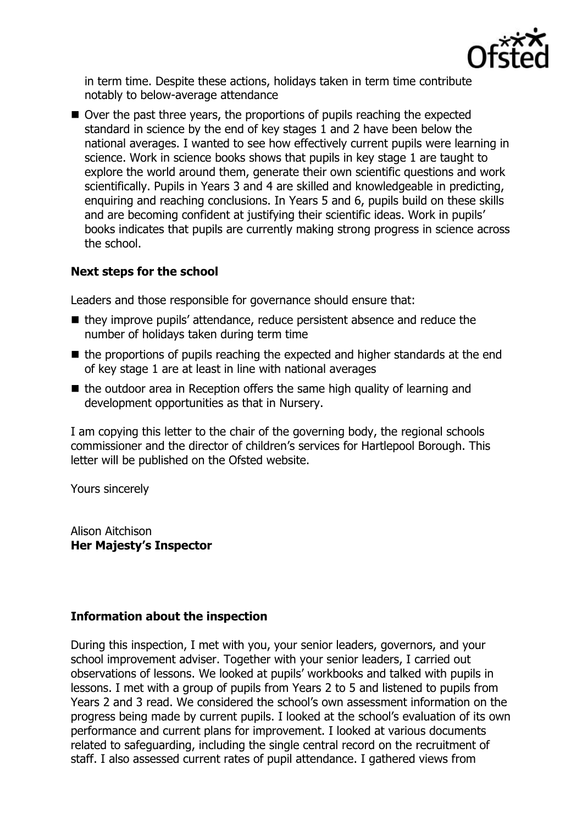

in term time. Despite these actions, holidays taken in term time contribute notably to below-average attendance

■ Over the past three years, the proportions of pupils reaching the expected standard in science by the end of key stages 1 and 2 have been below the national averages. I wanted to see how effectively current pupils were learning in science. Work in science books shows that pupils in key stage 1 are taught to explore the world around them, generate their own scientific questions and work scientifically. Pupils in Years 3 and 4 are skilled and knowledgeable in predicting, enquiring and reaching conclusions. In Years 5 and 6, pupils build on these skills and are becoming confident at justifying their scientific ideas. Work in pupils' books indicates that pupils are currently making strong progress in science across the school.

## **Next steps for the school**

Leaders and those responsible for governance should ensure that:

- they improve pupils' attendance, reduce persistent absence and reduce the number of holidays taken during term time
- $\blacksquare$  the proportions of pupils reaching the expected and higher standards at the end of key stage 1 are at least in line with national averages
- $\blacksquare$  the outdoor area in Reception offers the same high quality of learning and development opportunities as that in Nursery.

I am copying this letter to the chair of the governing body, the regional schools commissioner and the director of children's services for Hartlepool Borough. This letter will be published on the Ofsted website.

Yours sincerely

Alison Aitchison **Her Majesty's Inspector**

# **Information about the inspection**

During this inspection, I met with you, your senior leaders, governors, and your school improvement adviser. Together with your senior leaders, I carried out observations of lessons. We looked at pupils' workbooks and talked with pupils in lessons. I met with a group of pupils from Years 2 to 5 and listened to pupils from Years 2 and 3 read. We considered the school's own assessment information on the progress being made by current pupils. I looked at the school's evaluation of its own performance and current plans for improvement. I looked at various documents related to safeguarding, including the single central record on the recruitment of staff. I also assessed current rates of pupil attendance. I gathered views from